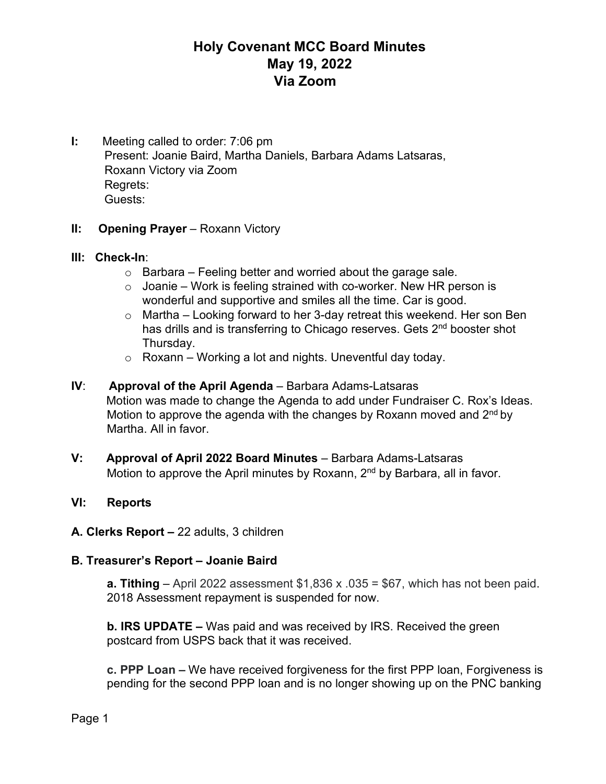# **Holy Covenant MCC Board Minutes May 19, 2022 Via Zoom**

**I:** Meeting called to order: 7:06 pm Present: Joanie Baird, Martha Daniels, Barbara Adams Latsaras, Roxann Victory via Zoom Regrets: Guests:

### **II: Opening Prayer** – Roxann Victory

### **III: Check-In**:

- $\circ$  Barbara Feeling better and worried about the garage sale.
- $\circ$  Joanie Work is feeling strained with co-worker. New HR person is wonderful and supportive and smiles all the time. Car is good.
- o Martha Looking forward to her 3-day retreat this weekend. Her son Ben has drills and is transferring to Chicago reserves. Gets 2<sup>nd</sup> booster shot Thursday.
- $\circ$  Roxann Working a lot and nights. Uneventful day today.
- **IV**: **Approval of the April Agenda** Barbara Adams-Latsaras Motion was made to change the Agenda to add under Fundraiser C. Rox's Ideas. Motion to approve the agenda with the changes by Roxann moved and  $2<sup>nd</sup>$  by Martha. All in favor.
- **V: Approval of April 2022 Board Minutes** Barbara Adams-Latsaras Motion to approve the April minutes by Roxann, 2<sup>nd</sup> by Barbara, all in favor.

### **VI: Reports**

### **A. Clerks Report –** 22 adults, 3 children

### **B. Treasurer's Report – Joanie Baird**

**a. Tithing** – April 2022 assessment \$1,836 x .035 = \$67, which has not been paid. 2018 Assessment repayment is suspended for now.

**b. IRS UPDATE –** Was paid and was received by IRS. Received the green postcard from USPS back that it was received.

**c. PPP Loan –** We have received forgiveness for the first PPP loan, Forgiveness is pending for the second PPP loan and is no longer showing up on the PNC banking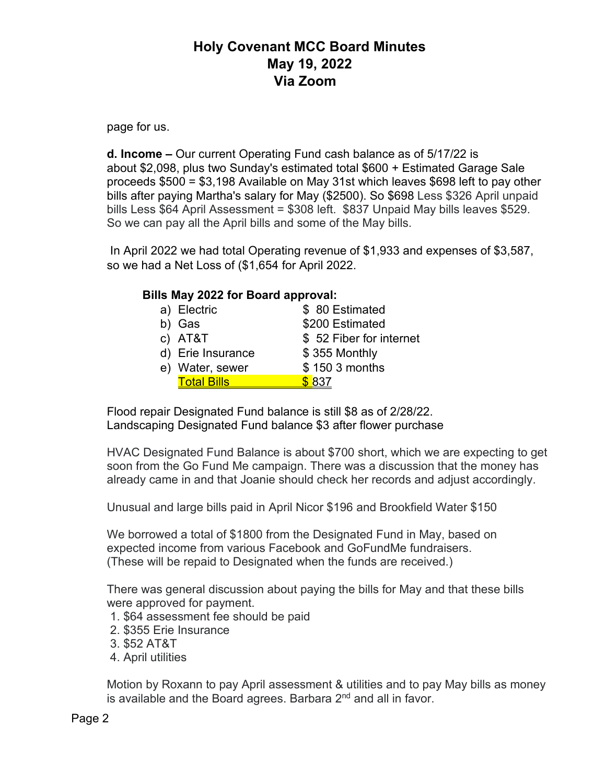# **Holy Covenant MCC Board Minutes May 19, 2022 Via Zoom**

page for us.

**d. Income –** Our current Operating Fund cash balance as of 5/17/22 is about \$2,098, plus two Sunday's estimated total \$600 + Estimated Garage Sale proceeds \$500 = \$3,198 Available on May 31st which leaves \$698 left to pay other bills after paying Martha's salary for May (\$2500). So \$698 Less \$326 April unpaid bills Less \$64 April Assessment = \$308 left. \$837 Unpaid May bills leaves \$529. So we can pay all the April bills and some of the May bills.

In April 2022 we had total Operating revenue of \$1,933 and expenses of \$3,587, so we had a Net Loss of (\$1,654 for April 2022.

### **Bills May 2022 for Board approval:**

| a) Electric        | \$80 Estimated          |
|--------------------|-------------------------|
| b) Gas             | \$200 Estimated         |
| c) AT&T            | \$52 Fiber for internet |
| d) Erie Insurance  | \$355 Monthly           |
| e) Water, sewer    | \$150 3 months          |
| <b>Total Bills</b> | \$837                   |

Flood repair Designated Fund balance is still \$8 as of 2/28/22. Landscaping Designated Fund balance \$3 after flower purchase

HVAC Designated Fund Balance is about \$700 short, which we are expecting to get soon from the Go Fund Me campaign. There was a discussion that the money has already came in and that Joanie should check her records and adjust accordingly.

Unusual and large bills paid in April Nicor \$196 and Brookfield Water \$150

We borrowed a total of \$1800 from the Designated Fund in May, based on expected income from various Facebook and GoFundMe fundraisers. (These will be repaid to Designated when the funds are received.)

There was general discussion about paying the bills for May and that these bills were approved for payment.

- 1. \$64 assessment fee should be paid
- 2. \$355 Erie Insurance
- 3. \$52 AT&T
- 4. April utilities

Motion by Roxann to pay April assessment & utilities and to pay May bills as money is available and the Board agrees. Barbara 2<sup>nd</sup> and all in favor.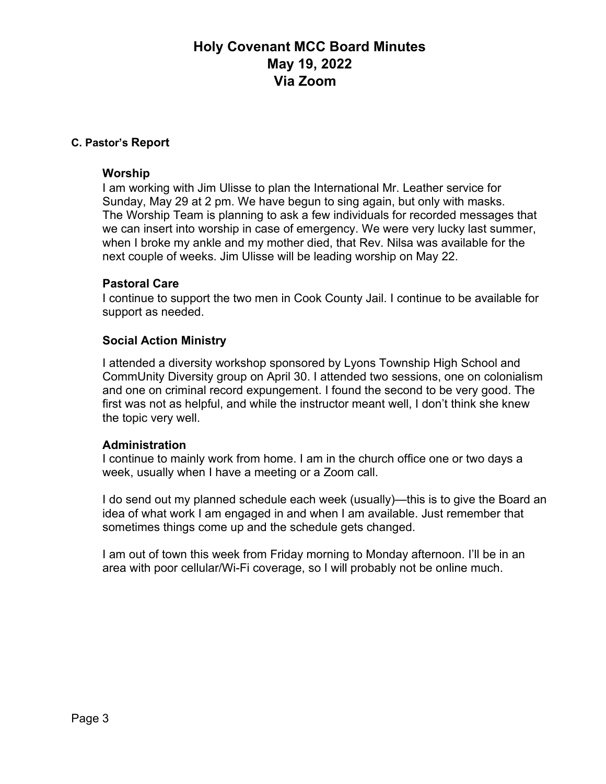# **Holy Covenant MCC Board Minutes May 19, 2022 Via Zoom**

#### **C. Pastor's Report**

#### **Worship**

I am working with Jim Ulisse to plan the International Mr. Leather service for Sunday, May 29 at 2 pm. We have begun to sing again, but only with masks. The Worship Team is planning to ask a few individuals for recorded messages that we can insert into worship in case of emergency. We were very lucky last summer, when I broke my ankle and my mother died, that Rev. Nilsa was available for the next couple of weeks. Jim Ulisse will be leading worship on May 22.

#### **Pastoral Care**

I continue to support the two men in Cook County Jail. I continue to be available for support as needed.

### **Social Action Ministry**

I attended a diversity workshop sponsored by Lyons Township High School and CommUnity Diversity group on April 30. I attended two sessions, one on colonialism and one on criminal record expungement. I found the second to be very good. The first was not as helpful, and while the instructor meant well, I don't think she knew the topic very well.

#### **Administration**

I continue to mainly work from home. I am in the church office one or two days a week, usually when I have a meeting or a Zoom call.

I do send out my planned schedule each week (usually)—this is to give the Board an idea of what work I am engaged in and when I am available. Just remember that sometimes things come up and the schedule gets changed.

I am out of town this week from Friday morning to Monday afternoon. I'll be in an area with poor cellular/Wi-Fi coverage, so I will probably not be online much.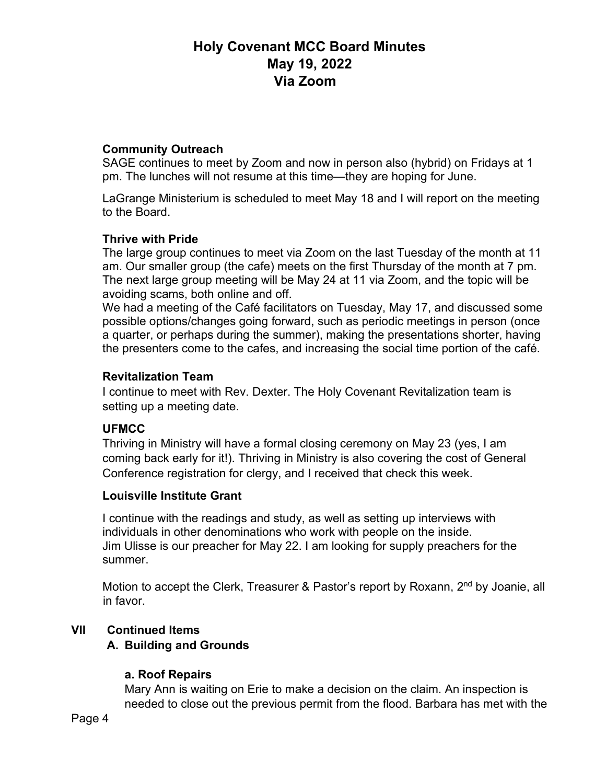# **Holy Covenant MCC Board Minutes May 19, 2022 Via Zoom**

## **Community Outreach**

SAGE continues to meet by Zoom and now in person also (hybrid) on Fridays at 1 pm. The lunches will not resume at this time—they are hoping for June.

LaGrange Ministerium is scheduled to meet May 18 and I will report on the meeting to the Board.

## **Thrive with Pride**

The large group continues to meet via Zoom on the last Tuesday of the month at 11 am. Our smaller group (the cafe) meets on the first Thursday of the month at 7 pm. The next large group meeting will be May 24 at 11 via Zoom, and the topic will be avoiding scams, both online and off.

We had a meeting of the Café facilitators on Tuesday, May 17, and discussed some possible options/changes going forward, such as periodic meetings in person (once a quarter, or perhaps during the summer), making the presentations shorter, having the presenters come to the cafes, and increasing the social time portion of the café.

#### **Revitalization Team**

I continue to meet with Rev. Dexter. The Holy Covenant Revitalization team is setting up a meeting date.

### **UFMCC**

Thriving in Ministry will have a formal closing ceremony on May 23 (yes, I am coming back early for it!). Thriving in Ministry is also covering the cost of General Conference registration for clergy, and I received that check this week.

### **Louisville Institute Grant**

I continue with the readings and study, as well as setting up interviews with individuals in other denominations who work with people on the inside. Jim Ulisse is our preacher for May 22. I am looking for supply preachers for the summer.

Motion to accept the Clerk, Treasurer & Pastor's report by Roxann, 2<sup>nd</sup> by Joanie, all in favor.

### **VII Continued Items**

### **A. Building and Grounds**

### **a. Roof Repairs**

Mary Ann is waiting on Erie to make a decision on the claim. An inspection is needed to close out the previous permit from the flood. Barbara has met with the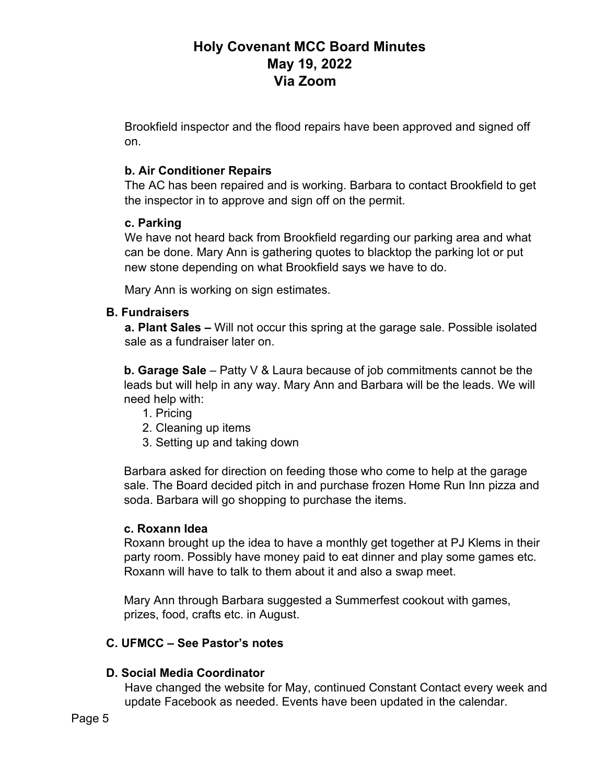# **Holy Covenant MCC Board Minutes May 19, 2022 Via Zoom**

Brookfield inspector and the flood repairs have been approved and signed off on.

## **b. Air Conditioner Repairs**

The AC has been repaired and is working. Barbara to contact Brookfield to get the inspector in to approve and sign off on the permit.

## **c. Parking**

We have not heard back from Brookfield regarding our parking area and what can be done. Mary Ann is gathering quotes to blacktop the parking lot or put new stone depending on what Brookfield says we have to do.

Mary Ann is working on sign estimates.

## **B. Fundraisers**

**a. Plant Sales –** Will not occur this spring at the garage sale. Possible isolated sale as a fundraiser later on.

**b. Garage Sale** – Patty V & Laura because of job commitments cannot be the leads but will help in any way. Mary Ann and Barbara will be the leads. We will need help with:

- 1. Pricing
- 2. Cleaning up items
- 3. Setting up and taking down

Barbara asked for direction on feeding those who come to help at the garage sale. The Board decided pitch in and purchase frozen Home Run Inn pizza and soda. Barbara will go shopping to purchase the items.

### **c. Roxann Idea**

Roxann brought up the idea to have a monthly get together at PJ Klems in their party room. Possibly have money paid to eat dinner and play some games etc. Roxann will have to talk to them about it and also a swap meet.

Mary Ann through Barbara suggested a Summerfest cookout with games, prizes, food, crafts etc. in August.

## **C. UFMCC – See Pastor's notes**

## **D. Social Media Coordinator**

Have changed the website for May, continued Constant Contact every week and update Facebook as needed. Events have been updated in the calendar.